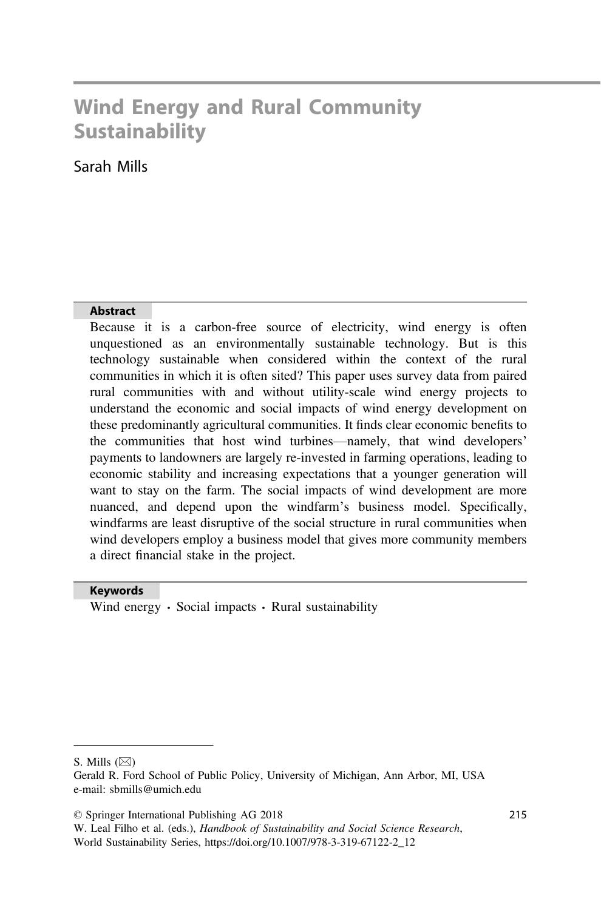# Wind Energy and Rural Community **Sustainability**

## Sarah Mills

#### Abstract

Because it is a carbon-free source of electricity, wind energy is often unquestioned as an environmentally sustainable technology. But is this technology sustainable when considered within the context of the rural communities in which it is often sited? This paper uses survey data from paired rural communities with and without utility-scale wind energy projects to understand the economic and social impacts of wind energy development on these predominantly agricultural communities. It finds clear economic benefits to the communities that host wind turbines—namely, that wind developers' payments to landowners are largely re-invested in farming operations, leading to economic stability and increasing expectations that a younger generation will want to stay on the farm. The social impacts of wind development are more nuanced, and depend upon the windfarm's business model. Specifically, windfarms are least disruptive of the social structure in rural communities when wind developers employ a business model that gives more community members a direct financial stake in the project.

## Keywords

Wind energy  $\cdot$  Social impacts  $\cdot$  Rural sustainability

© Springer International Publishing AG 2018

S. Mills  $(\boxtimes)$ 

Gerald R. Ford School of Public Policy, University of Michigan, Ann Arbor, MI, USA e-mail: sbmills@umich.edu

W. Leal Filho et al. (eds.), Handbook of Sustainability and Social Science Research, World Sustainability Series, https://doi.org/10.1007/978-3-319-67122-2\_12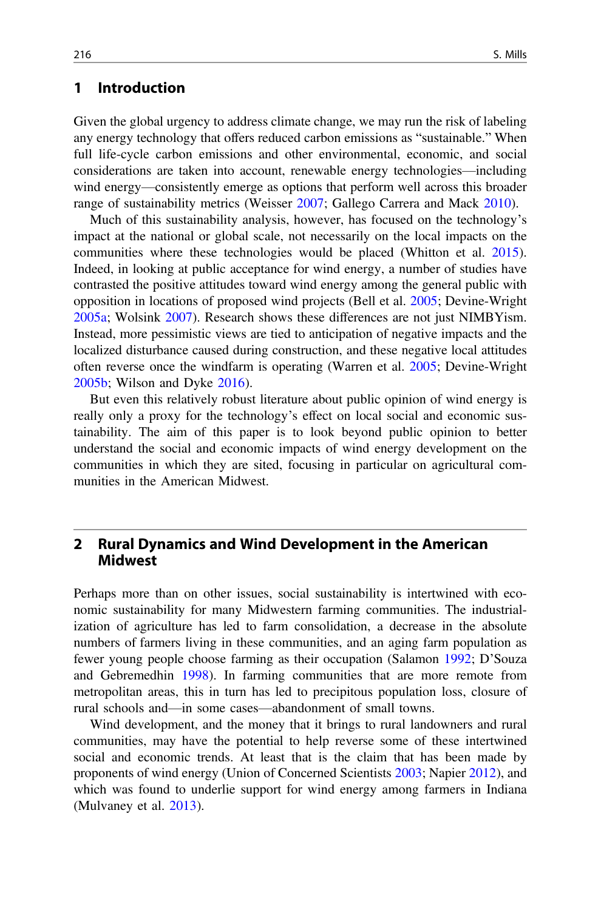## 1 Introduction

Given the global urgency to address climate change, we may run the risk of labeling any energy technology that offers reduced carbon emissions as "sustainable." When full life-cycle carbon emissions and other environmental, economic, and social considerations are taken into account, renewable energy technologies—including wind energy—consistently emerge as options that perform well across this broader range of sustainability metrics (Weisser [2007](#page-9-0); Gallego Carrera and Mack [2010\)](#page-8-0).

Much of this sustainability analysis, however, has focused on the technology's impact at the national or global scale, not necessarily on the local impacts on the communities where these technologies would be placed (Whitton et al. [2015\)](#page-9-0). Indeed, in looking at public acceptance for wind energy, a number of studies have contrasted the positive attitudes toward wind energy among the general public with opposition in locations of proposed wind projects (Bell et al. [2005](#page-8-0); Devine-Wright [2005a](#page-8-0); Wolsink [2007\)](#page-9-0). Research shows these differences are not just NIMBYism. Instead, more pessimistic views are tied to anticipation of negative impacts and the localized disturbance caused during construction, and these negative local attitudes often reverse once the windfarm is operating (Warren et al. [2005;](#page-9-0) Devine-Wright [2005b;](#page-8-0) Wilson and Dyke [2016](#page-9-0)).

But even this relatively robust literature about public opinion of wind energy is really only a proxy for the technology's effect on local social and economic sustainability. The aim of this paper is to look beyond public opinion to better understand the social and economic impacts of wind energy development on the communities in which they are sited, focusing in particular on agricultural communities in the American Midwest.

## 2 Rural Dynamics and Wind Development in the American **Midwest**

Perhaps more than on other issues, social sustainability is intertwined with economic sustainability for many Midwestern farming communities. The industrialization of agriculture has led to farm consolidation, a decrease in the absolute numbers of farmers living in these communities, and an aging farm population as fewer young people choose farming as their occupation (Salamon [1992;](#page-9-0) D'Souza and Gebremedhin [1998\)](#page-8-0). In farming communities that are more remote from metropolitan areas, this in turn has led to precipitous population loss, closure of rural schools and—in some cases—abandonment of small towns.

Wind development, and the money that it brings to rural landowners and rural communities, may have the potential to help reverse some of these intertwined social and economic trends. At least that is the claim that has been made by proponents of wind energy (Union of Concerned Scientists [2003;](#page-9-0) Napier [2012](#page-9-0)), and which was found to underlie support for wind energy among farmers in Indiana (Mulvaney et al. [2013\)](#page-8-0).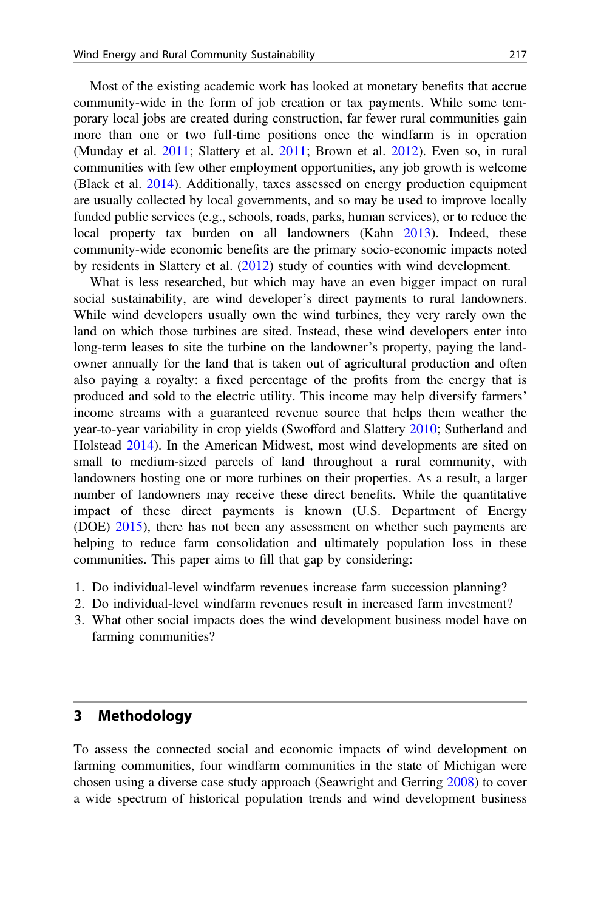Most of the existing academic work has looked at monetary benefits that accrue community-wide in the form of job creation or tax payments. While some temporary local jobs are created during construction, far fewer rural communities gain more than one or two full-time positions once the windfarm is in operation (Munday et al. [2011;](#page-9-0) Slattery et al. [2011](#page-9-0); Brown et al. [2012](#page-8-0)). Even so, in rural communities with few other employment opportunities, any job growth is welcome (Black et al. [2014](#page-8-0)). Additionally, taxes assessed on energy production equipment are usually collected by local governments, and so may be used to improve locally funded public services (e.g., schools, roads, parks, human services), or to reduce the local property tax burden on all landowners (Kahn [2013](#page-8-0)). Indeed, these community-wide economic benefits are the primary socio-economic impacts noted by residents in Slattery et al. ([2012\)](#page-9-0) study of counties with wind development.

What is less researched, but which may have an even bigger impact on rural social sustainability, are wind developer's direct payments to rural landowners. While wind developers usually own the wind turbines, they very rarely own the land on which those turbines are sited. Instead, these wind developers enter into long-term leases to site the turbine on the landowner's property, paying the landowner annually for the land that is taken out of agricultural production and often also paying a royalty: a fixed percentage of the profits from the energy that is produced and sold to the electric utility. This income may help diversify farmers' income streams with a guaranteed revenue source that helps them weather the year-to-year variability in crop yields (Swofford and Slattery [2010;](#page-9-0) Sutherland and Holstead [2014\)](#page-9-0). In the American Midwest, most wind developments are sited on small to medium-sized parcels of land throughout a rural community, with landowners hosting one or more turbines on their properties. As a result, a larger number of landowners may receive these direct benefits. While the quantitative impact of these direct payments is known (U.S. Department of Energy (DOE) [2015\)](#page-9-0), there has not been any assessment on whether such payments are helping to reduce farm consolidation and ultimately population loss in these communities. This paper aims to fill that gap by considering:

- 1. Do individual-level windfarm revenues increase farm succession planning?
- 2. Do individual-level windfarm revenues result in increased farm investment?
- 3. What other social impacts does the wind development business model have on farming communities?

## 3 Methodology

To assess the connected social and economic impacts of wind development on farming communities, four windfarm communities in the state of Michigan were chosen using a diverse case study approach (Seawright and Gerring [2008](#page-9-0)) to cover a wide spectrum of historical population trends and wind development business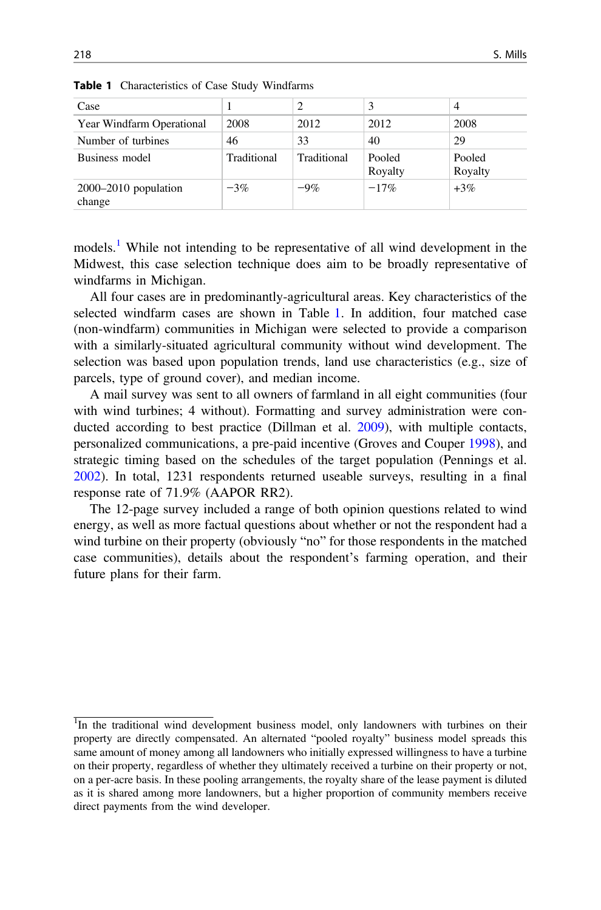| Case                             |             |             |                   |                   |
|----------------------------------|-------------|-------------|-------------------|-------------------|
| Year Windfarm Operational        | 2008        | 2012        | 2012              | 2008              |
| Number of turbines               | 46          | 33          | 40                | 29                |
| Business model                   | Traditional | Traditional | Pooled<br>Royalty | Pooled<br>Royalty |
| $2000-2010$ population<br>change | $-3\%$      | $-9%$       | $-17%$            | $+3\%$            |

Table 1 Characteristics of Case Study Windfarms

models.<sup>1</sup> While not intending to be representative of all wind development in the Midwest, this case selection technique does aim to be broadly representative of windfarms in Michigan.

All four cases are in predominantly-agricultural areas. Key characteristics of the selected windfarm cases are shown in Table 1. In addition, four matched case (non-windfarm) communities in Michigan were selected to provide a comparison with a similarly-situated agricultural community without wind development. The selection was based upon population trends, land use characteristics (e.g., size of parcels, type of ground cover), and median income.

A mail survey was sent to all owners of farmland in all eight communities (four with wind turbines; 4 without). Formatting and survey administration were conducted according to best practice (Dillman et al. [2009](#page-8-0)), with multiple contacts, personalized communications, a pre-paid incentive (Groves and Couper [1998\)](#page-8-0), and strategic timing based on the schedules of the target population (Pennings et al. [2002\)](#page-9-0). In total, 1231 respondents returned useable surveys, resulting in a final response rate of 71.9% (AAPOR RR2).

The 12-page survey included a range of both opinion questions related to wind energy, as well as more factual questions about whether or not the respondent had a wind turbine on their property (obviously "no" for those respondents in the matched case communities), details about the respondent's farming operation, and their future plans for their farm.

<sup>&</sup>lt;sup>1</sup>In the traditional wind development business model, only landowners with turbines on their property are directly compensated. An alternated "pooled royalty" business model spreads this same amount of money among all landowners who initially expressed willingness to have a turbine on their property, regardless of whether they ultimately received a turbine on their property or not, on a per-acre basis. In these pooling arrangements, the royalty share of the lease payment is diluted as it is shared among more landowners, but a higher proportion of community members receive direct payments from the wind developer.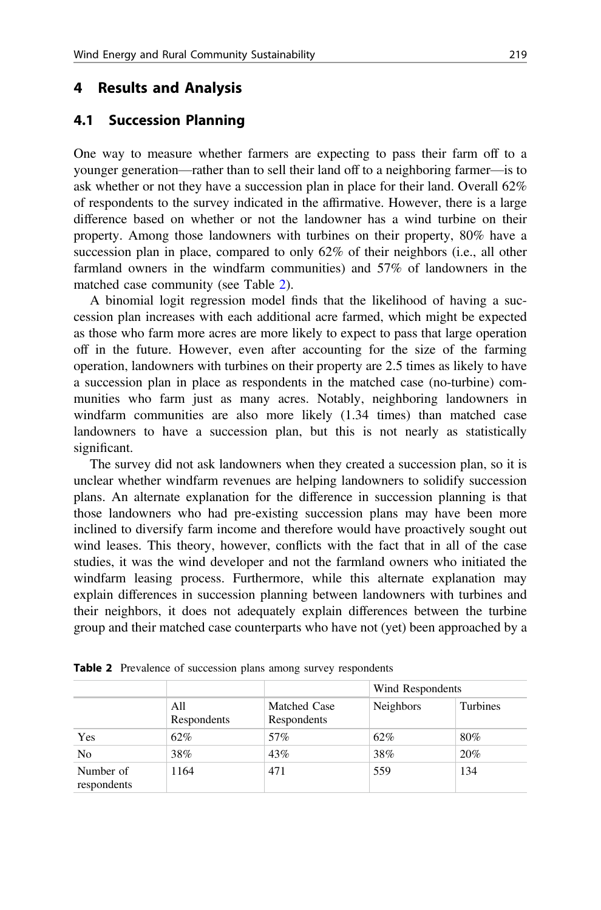#### 4 Results and Analysis

#### 4.1 Succession Planning

One way to measure whether farmers are expecting to pass their farm off to a younger generation—rather than to sell their land off to a neighboring farmer—is to ask whether or not they have a succession plan in place for their land. Overall 62% of respondents to the survey indicated in the affirmative. However, there is a large difference based on whether or not the landowner has a wind turbine on their property. Among those landowners with turbines on their property, 80% have a succession plan in place, compared to only 62% of their neighbors (i.e., all other farmland owners in the windfarm communities) and 57% of landowners in the matched case community (see Table 2).

A binomial logit regression model finds that the likelihood of having a succession plan increases with each additional acre farmed, which might be expected as those who farm more acres are more likely to expect to pass that large operation off in the future. However, even after accounting for the size of the farming operation, landowners with turbines on their property are 2.5 times as likely to have a succession plan in place as respondents in the matched case (no-turbine) communities who farm just as many acres. Notably, neighboring landowners in windfarm communities are also more likely (1.34 times) than matched case landowners to have a succession plan, but this is not nearly as statistically significant.

The survey did not ask landowners when they created a succession plan, so it is unclear whether windfarm revenues are helping landowners to solidify succession plans. An alternate explanation for the difference in succession planning is that those landowners who had pre-existing succession plans may have been more inclined to diversify farm income and therefore would have proactively sought out wind leases. This theory, however, conflicts with the fact that in all of the case studies, it was the wind developer and not the farmland owners who initiated the windfarm leasing process. Furthermore, while this alternate explanation may explain differences in succession planning between landowners with turbines and their neighbors, it does not adequately explain differences between the turbine group and their matched case counterparts who have not (yet) been approached by a

|                          |                    |                             | Wind Respondents |          |
|--------------------------|--------------------|-----------------------------|------------------|----------|
|                          | All<br>Respondents | Matched Case<br>Respondents | <b>Neighbors</b> | Turbines |
| Yes                      | 62%                | 57%                         | 62%              | 80%      |
| N <sub>0</sub>           | 38%                | 43%                         | 38%              | 20%      |
| Number of<br>respondents | 1164               | 471                         | 559              | 134      |

Table 2 Prevalence of succession plans among survey respondents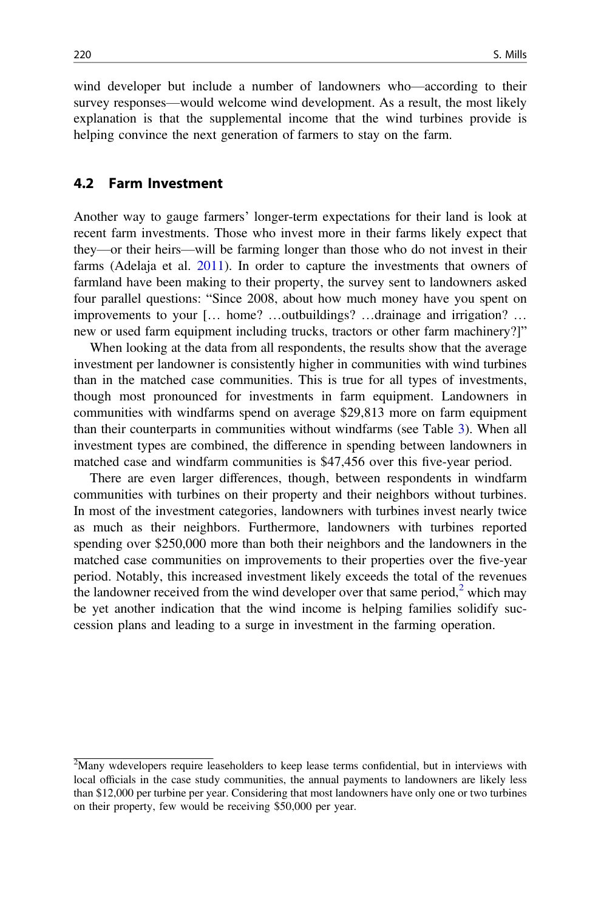wind developer but include a number of landowners who—according to their survey responses—would welcome wind development. As a result, the most likely explanation is that the supplemental income that the wind turbines provide is helping convince the next generation of farmers to stay on the farm.

#### 4.2 Farm Investment

Another way to gauge farmers' longer-term expectations for their land is look at recent farm investments. Those who invest more in their farms likely expect that they—or their heirs—will be farming longer than those who do not invest in their farms (Adelaja et al. [2011](#page-8-0)). In order to capture the investments that owners of farmland have been making to their property, the survey sent to landowners asked four parallel questions: "Since 2008, about how much money have you spent on improvements to your [… home? …outbuildings? …drainage and irrigation? … new or used farm equipment including trucks, tractors or other farm machinery?]"

When looking at the data from all respondents, the results show that the average investment per landowner is consistently higher in communities with wind turbines than in the matched case communities. This is true for all types of investments, though most pronounced for investments in farm equipment. Landowners in communities with windfarms spend on average \$29,813 more on farm equipment than their counterparts in communities without windfarms (see Table [3](#page-6-0)). When all investment types are combined, the difference in spending between landowners in matched case and windfarm communities is \$47,456 over this five-year period.

There are even larger differences, though, between respondents in windfarm communities with turbines on their property and their neighbors without turbines. In most of the investment categories, landowners with turbines invest nearly twice as much as their neighbors. Furthermore, landowners with turbines reported spending over \$250,000 more than both their neighbors and the landowners in the matched case communities on improvements to their properties over the five-year period. Notably, this increased investment likely exceeds the total of the revenues the landowner received from the wind developer over that same period, $2$  which may be yet another indication that the wind income is helping families solidify succession plans and leading to a surge in investment in the farming operation.

 $2$ Many wdevelopers require leaseholders to keep lease terms confidential, but in interviews with local officials in the case study communities, the annual payments to landowners are likely less than \$12,000 per turbine per year. Considering that most landowners have only one or two turbines on their property, few would be receiving \$50,000 per year.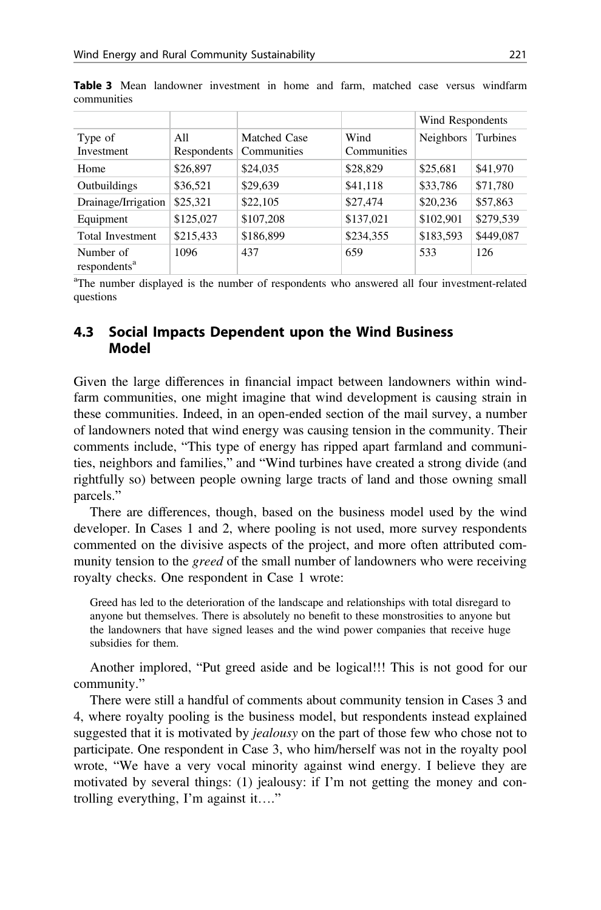|                                       |             |              |             | Wind Respondents |           |
|---------------------------------------|-------------|--------------|-------------|------------------|-----------|
| Type of                               | All         | Matched Case | Wind        | <b>Neighbors</b> | Turbines  |
| Investment                            | Respondents | Communities  | Communities |                  |           |
| Home                                  | \$26,897    | \$24,035     | \$28,829    | \$25,681         | \$41,970  |
| Outbuildings                          | \$36,521    | \$29,639     | \$41,118    | \$33,786         | \$71,780  |
| Drainage/Irrigation                   | \$25,321    | \$22,105     | \$27,474    | \$20,236         | \$57,863  |
| Equipment                             | \$125,027   | \$107,208    | \$137,021   | \$102,901        | \$279,539 |
| Total Investment                      | \$215,433   | \$186,899    | \$234,355   | \$183,593        | \$449,087 |
| Number of<br>respondents <sup>a</sup> | 1096        | 437          | 659         | 533              | 126       |

<span id="page-6-0"></span>Table 3 Mean landowner investment in home and farm, matched case versus windfarm communities

<sup>a</sup>The number displayed is the number of respondents who answered all four investment-related questions

## 4.3 Social Impacts Dependent upon the Wind Business Model

Given the large differences in financial impact between landowners within windfarm communities, one might imagine that wind development is causing strain in these communities. Indeed, in an open-ended section of the mail survey, a number of landowners noted that wind energy was causing tension in the community. Their comments include, "This type of energy has ripped apart farmland and communities, neighbors and families," and "Wind turbines have created a strong divide (and rightfully so) between people owning large tracts of land and those owning small parcels."

There are differences, though, based on the business model used by the wind developer. In Cases 1 and 2, where pooling is not used, more survey respondents commented on the divisive aspects of the project, and more often attributed community tension to the *greed* of the small number of landowners who were receiving royalty checks. One respondent in Case 1 wrote:

Greed has led to the deterioration of the landscape and relationships with total disregard to anyone but themselves. There is absolutely no benefit to these monstrosities to anyone but the landowners that have signed leases and the wind power companies that receive huge subsidies for them.

Another implored, "Put greed aside and be logical!!! This is not good for our community."

There were still a handful of comments about community tension in Cases 3 and 4, where royalty pooling is the business model, but respondents instead explained suggested that it is motivated by *jealousy* on the part of those few who chose not to participate. One respondent in Case 3, who him/herself was not in the royalty pool wrote, "We have a very vocal minority against wind energy. I believe they are motivated by several things: (1) jealousy: if I'm not getting the money and controlling everything, I'm against it…."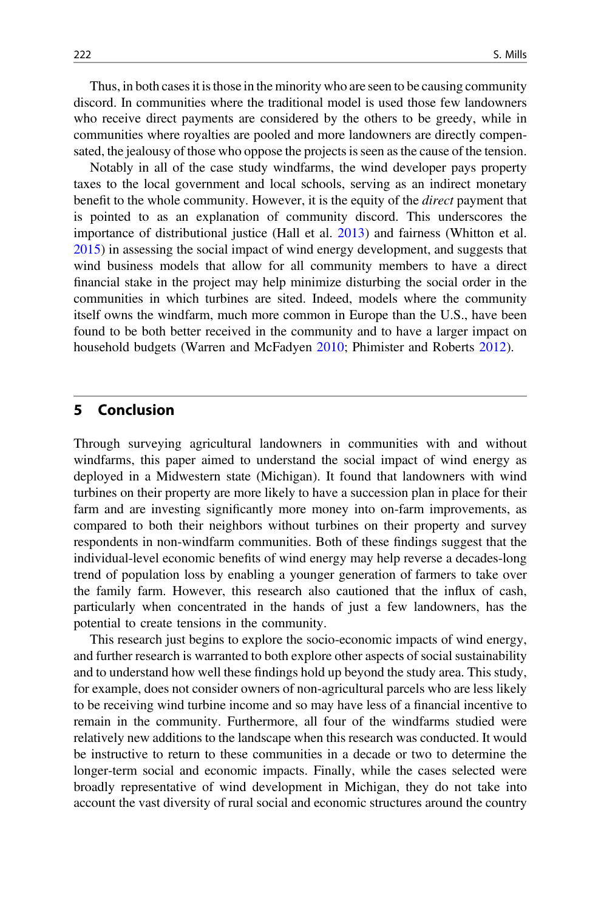Thus, in both cases it is those in the minority who are seen to be causing community discord. In communities where the traditional model is used those few landowners who receive direct payments are considered by the others to be greedy, while in communities where royalties are pooled and more landowners are directly compensated, the jealousy of those who oppose the projects is seen as the cause of the tension.

Notably in all of the case study windfarms, the wind developer pays property taxes to the local government and local schools, serving as an indirect monetary benefit to the whole community. However, it is the equity of the direct payment that is pointed to as an explanation of community discord. This underscores the importance of distributional justice (Hall et al. [2013\)](#page-8-0) and fairness (Whitton et al. [2015\)](#page-9-0) in assessing the social impact of wind energy development, and suggests that wind business models that allow for all community members to have a direct financial stake in the project may help minimize disturbing the social order in the communities in which turbines are sited. Indeed, models where the community itself owns the windfarm, much more common in Europe than the U.S., have been found to be both better received in the community and to have a larger impact on household budgets (Warren and McFadyen [2010;](#page-9-0) Phimister and Roberts [2012](#page-9-0)).

#### 5 Conclusion

Through surveying agricultural landowners in communities with and without windfarms, this paper aimed to understand the social impact of wind energy as deployed in a Midwestern state (Michigan). It found that landowners with wind turbines on their property are more likely to have a succession plan in place for their farm and are investing significantly more money into on-farm improvements, as compared to both their neighbors without turbines on their property and survey respondents in non-windfarm communities. Both of these findings suggest that the individual-level economic benefits of wind energy may help reverse a decades-long trend of population loss by enabling a younger generation of farmers to take over the family farm. However, this research also cautioned that the influx of cash, particularly when concentrated in the hands of just a few landowners, has the potential to create tensions in the community.

This research just begins to explore the socio-economic impacts of wind energy, and further research is warranted to both explore other aspects of social sustainability and to understand how well these findings hold up beyond the study area. This study, for example, does not consider owners of non-agricultural parcels who are less likely to be receiving wind turbine income and so may have less of a financial incentive to remain in the community. Furthermore, all four of the windfarms studied were relatively new additions to the landscape when this research was conducted. It would be instructive to return to these communities in a decade or two to determine the longer-term social and economic impacts. Finally, while the cases selected were broadly representative of wind development in Michigan, they do not take into account the vast diversity of rural social and economic structures around the country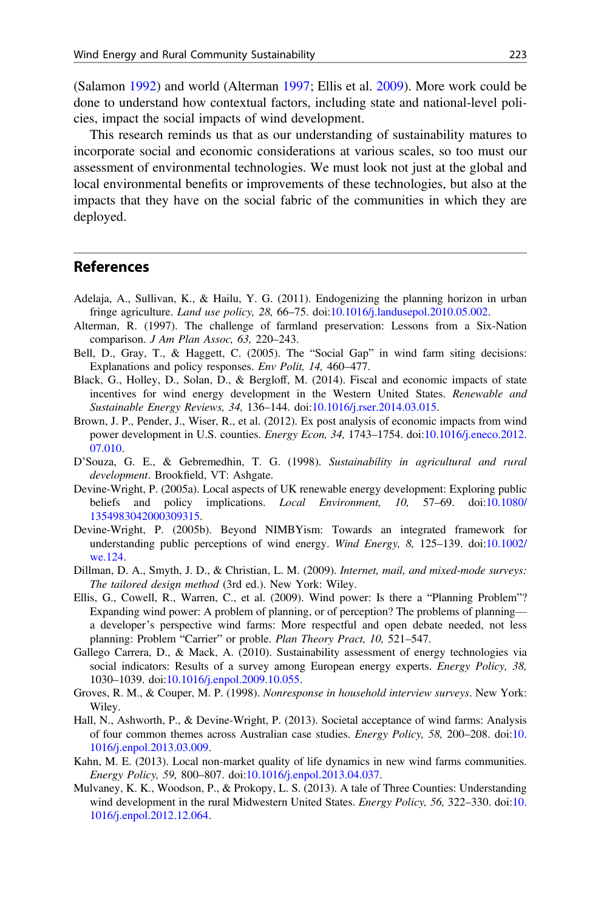<span id="page-8-0"></span>(Salamon [1992](#page-9-0)) and world (Alterman 1997; Ellis et al. 2009). More work could be done to understand how contextual factors, including state and national-level policies, impact the social impacts of wind development.

This research reminds us that as our understanding of sustainability matures to incorporate social and economic considerations at various scales, so too must our assessment of environmental technologies. We must look not just at the global and local environmental benefits or improvements of these technologies, but also at the impacts that they have on the social fabric of the communities in which they are deployed.

#### References

- Adelaja, A., Sullivan, K., & Hailu, Y. G. (2011). Endogenizing the planning horizon in urban fringe agriculture. Land use policy, 28, 66-75. doi:[10.1016/j.landusepol.2010.05.002.](http://dx.doi.org/10.1016/j.landusepol.2010.05.002)
- Alterman, R. (1997). The challenge of farmland preservation: Lessons from a Six-Nation comparison. J Am Plan Assoc, 63, 220-243.
- Bell, D., Gray, T., & Haggett, C. (2005). The "Social Gap" in wind farm siting decisions: Explanations and policy responses. Env Polit, 14, 460–477.
- Black, G., Holley, D., Solan, D., & Bergloff, M. (2014). Fiscal and economic impacts of state incentives for wind energy development in the Western United States. Renewable and Sustainable Energy Reviews, 34, 136–144. doi[:10.1016/j.rser.2014.03.015.](http://dx.doi.org/10.1016/j.rser.2014.03.015)
- Brown, J. P., Pender, J., Wiser, R., et al. (2012). Ex post analysis of economic impacts from wind power development in U.S. counties. Energy Econ, 34, 1743–1754. doi:[10.1016/j.eneco.2012.](http://dx.doi.org/10.1016/j.eneco.2012.07.010) [07.010](http://dx.doi.org/10.1016/j.eneco.2012.07.010).
- D'Souza, G. E., & Gebremedhin, T. G. (1998). Sustainability in agricultural and rural development. Brookfield, VT: Ashgate.
- Devine-Wright, P. (2005a). Local aspects of UK renewable energy development: Exploring public beliefs and policy implications. *Local Environment*, 10, 57–69. doi:[10.1080/](http://dx.doi.org/10.1080/1354983042000309315) [1354983042000309315](http://dx.doi.org/10.1080/1354983042000309315).
- Devine-Wright, P. (2005b). Beyond NIMBYism: Towards an integrated framework for understanding public perceptions of wind energy. Wind Energy, 8, 125-139. doi:[10.1002/](http://dx.doi.org/10.1002/we.124) [we.124](http://dx.doi.org/10.1002/we.124).
- Dillman, D. A., Smyth, J. D., & Christian, L. M. (2009). Internet, mail, and mixed-mode surveys: The tailored design method (3rd ed.). New York: Wiley.
- Ellis, G., Cowell, R., Warren, C., et al. (2009). Wind power: Is there a "Planning Problem"? Expanding wind power: A problem of planning, or of perception? The problems of planning a developer's perspective wind farms: More respectful and open debate needed, not less planning: Problem "Carrier" or proble. Plan Theory Pract, 10, 521–547.
- Gallego Carrera, D., & Mack, A. (2010). Sustainability assessment of energy technologies via social indicators: Results of a survey among European energy experts. Energy Policy, 38, 1030–1039. doi:[10.1016/j.enpol.2009.10.055](http://dx.doi.org/10.1016/j.enpol.2009.10.055).
- Groves, R. M., & Couper, M. P. (1998). Nonresponse in household interview surveys. New York: Wiley.
- Hall, N., Ashworth, P., & Devine-Wright, P. (2013). Societal acceptance of wind farms: Analysis of four common themes across Australian case studies. Energy Policy, 58, 200–208. doi:[10.](http://dx.doi.org/10.1016/j.enpol.2013.03.009) [1016/j.enpol.2013.03.009.](http://dx.doi.org/10.1016/j.enpol.2013.03.009)
- Kahn, M. E. (2013). Local non-market quality of life dynamics in new wind farms communities. Energy Policy, 59, 800–807. doi[:10.1016/j.enpol.2013.04.037.](http://dx.doi.org/10.1016/j.enpol.2013.04.037)
- Mulvaney, K. K., Woodson, P., & Prokopy, L. S. (2013). A tale of Three Counties: Understanding wind development in the rural Midwestern United States. *Energy Policy*, 56, 322–330. doi:[10.](http://dx.doi.org/10.1016/j.enpol.2012.12.064) [1016/j.enpol.2012.12.064.](http://dx.doi.org/10.1016/j.enpol.2012.12.064)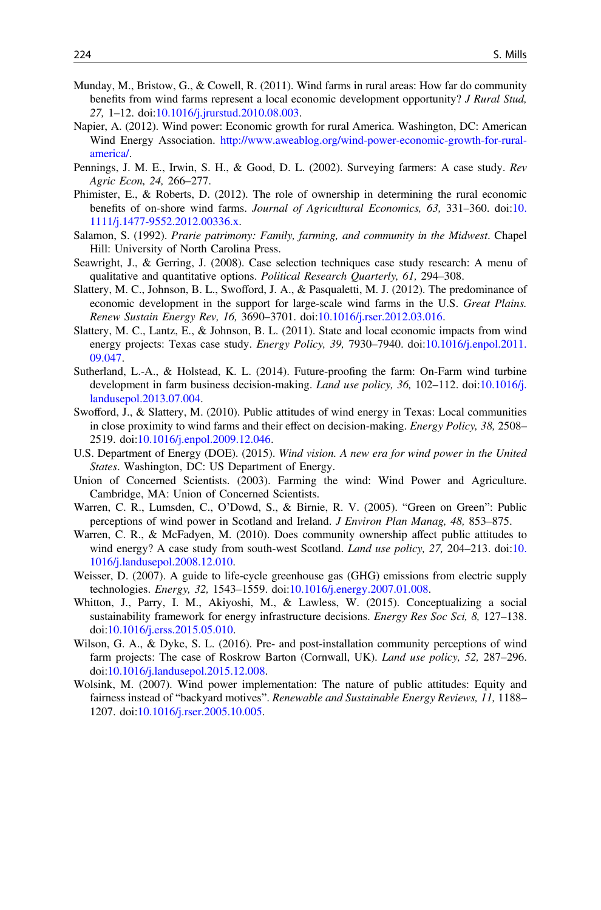- <span id="page-9-0"></span>Munday, M., Bristow, G., & Cowell, R. (2011). Wind farms in rural areas: How far do community benefits from wind farms represent a local economic development opportunity? J Rural Stud, 27, 1–12. doi[:10.1016/j.jrurstud.2010.08.003.](http://dx.doi.org/10.1016/j.jrurstud.2010.08.003)
- Napier, A. (2012). Wind power: Economic growth for rural America. Washington, DC: American Wind Energy Association. [http://www.aweablog.org/wind-power-economic-growth-for-rural](http://www.aweablog.org/wind-power-economic-growth-for-rural-america/)[america/](http://www.aweablog.org/wind-power-economic-growth-for-rural-america/).
- Pennings, J. M. E., Irwin, S. H., & Good, D. L. (2002). Surveying farmers: A case study. Rev Agric Econ, 24, 266–277.
- Phimister, E., & Roberts, D. (2012). The role of ownership in determining the rural economic benefits of on-shore wind farms. Journal of Agricultural Economics, 63, 331–360. doi:[10.](http://dx.doi.org/10.1111/j.1477-9552.2012.00336.x) [1111/j.1477-9552.2012.00336.x.](http://dx.doi.org/10.1111/j.1477-9552.2012.00336.x)
- Salamon, S. (1992). Prarie patrimony: Family, farming, and community in the Midwest. Chapel Hill: University of North Carolina Press.
- Seawright, J., & Gerring, J. (2008). Case selection techniques case study research: A menu of qualitative and quantitative options. Political Research Quarterly, 61, 294-308.
- Slattery, M. C., Johnson, B. L., Swofford, J. A., & Pasqualetti, M. J. (2012). The predominance of economic development in the support for large-scale wind farms in the U.S. Great Plains. Renew Sustain Energy Rev, 16, 3690–3701. doi:[10.1016/j.rser.2012.03.016.](http://dx.doi.org/10.1016/j.rser.2012.03.016)
- Slattery, M. C., Lantz, E., & Johnson, B. L. (2011). State and local economic impacts from wind energy projects: Texas case study. *Energy Policy, 39, 7930–7940.* doi[:10.1016/j.enpol.2011.](http://dx.doi.org/10.1016/j.enpol.2011.09.047) [09.047](http://dx.doi.org/10.1016/j.enpol.2011.09.047).
- Sutherland, L.-A., & Holstead, K. L. (2014). Future-proofing the farm: On-Farm wind turbine development in farm business decision-making. *Land use policy*, 36, 102–112. doi[:10.1016/j.](http://dx.doi.org/10.1016/j.landusepol.2013.07.004) [landusepol.2013.07.004.](http://dx.doi.org/10.1016/j.landusepol.2013.07.004)
- Swofford, J., & Slattery, M. (2010). Public attitudes of wind energy in Texas: Local communities in close proximity to wind farms and their effect on decision-making. Energy Policy, 38, 2508– 2519. doi:[10.1016/j.enpol.2009.12.046](http://dx.doi.org/10.1016/j.enpol.2009.12.046).
- U.S. Department of Energy (DOE). (2015). Wind vision. A new era for wind power in the United States. Washington, DC: US Department of Energy.
- Union of Concerned Scientists. (2003). Farming the wind: Wind Power and Agriculture. Cambridge, MA: Union of Concerned Scientists.
- Warren, C. R., Lumsden, C., O'Dowd, S., & Birnie, R. V. (2005). "Green on Green": Public perceptions of wind power in Scotland and Ireland. J Environ Plan Manag, 48, 853–875.
- Warren, C. R., & McFadyen, M. (2010). Does community ownership affect public attitudes to wind energy? A case study from south-west Scotland. *Land use policy*, 27, 204–213. doi:[10.](http://dx.doi.org/10.1016/j.landusepol.2008.12.010) [1016/j.landusepol.2008.12.010](http://dx.doi.org/10.1016/j.landusepol.2008.12.010).
- Weisser, D. (2007). A guide to life-cycle greenhouse gas (GHG) emissions from electric supply technologies. Energy, 32, 1543–1559. doi:[10.1016/j.energy.2007.01.008](http://dx.doi.org/10.1016/j.energy.2007.01.008).
- Whitton, J., Parry, I. M., Akiyoshi, M., & Lawless, W. (2015). Conceptualizing a social sustainability framework for energy infrastructure decisions. Energy Res Soc Sci, 8, 127-138. doi:[10.1016/j.erss.2015.05.010](http://dx.doi.org/10.1016/j.erss.2015.05.010).
- Wilson, G. A., & Dyke, S. L. (2016). Pre- and post-installation community perceptions of wind farm projects: The case of Roskrow Barton (Cornwall, UK). Land use policy, 52, 287-296. doi:[10.1016/j.landusepol.2015.12.008.](http://dx.doi.org/10.1016/j.landusepol.2015.12.008)
- Wolsink, M. (2007). Wind power implementation: The nature of public attitudes: Equity and fairness instead of "backyard motives". Renewable and Sustainable Energy Reviews, 11, 1188-1207. doi:[10.1016/j.rser.2005.10.005.](http://dx.doi.org/10.1016/j.rser.2005.10.005)